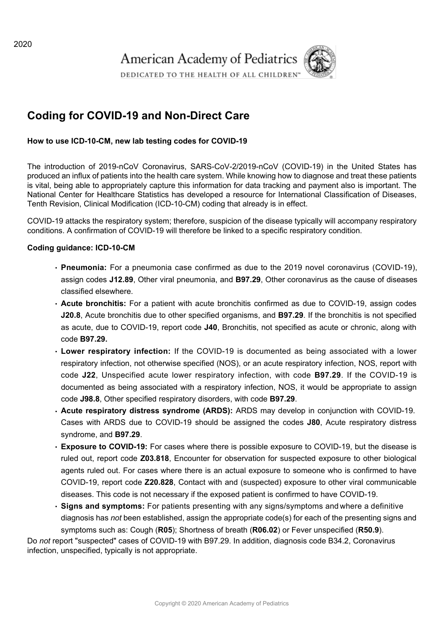

# **Coding for COVID-19 and Non-Direct Care**

# **How to use ICD-10-CM, new lab testing codes for COVID-19**

The introduction of 2019-nCoV Coronavirus, SARS-CoV-2/2019-nCoV (COVID-19) in the United States has produced an influx of patients into the health care system. While knowing how to diagnose and treat these patients is vital, being able to appropriately capture this information for data tracking and payment also is important. The National Center for Healthcare Statistics has developed a resource for International Classification of Diseases, Tenth Revision, Clinical Modification (ICD-10-CM) coding that already is in effect.

COVID-19 attacks the respiratory system; therefore, suspicion of the disease typically will accompany respiratory conditions. A confirmation of COVID-19 will therefore be linked to a specific respiratory condition.

#### **Coding guidance: ICD-10-CM**

- **Pneumonia:** For a pneumonia case confirmed as due to the 2019 novel coronavirus (COVID-19), assign codes **J12.89**, Other viral pneumonia, and **B97.29**, Other coronavirus as the cause of diseases classified elsewhere.
- Acute bronchitis: For a patient with acute bronchitis confirmed as due to COVID-19, assign codes **J20.8**, Acute bronchitis due to other specified organisms, and **B97.29**. If the bronchitis is not specified as acute, due to COVID-19, report code **J40**, Bronchitis, not specified as acute or chronic, along with code **B97.29.**
- **Lower respiratory infection:** If the COVID-19 is documented as being associated with a lower respiratory infection, not otherwise specified (NOS), or an acute respiratory infection, NOS, report with code **J22**, Unspecified acute lower respiratory infection, with code **B97.29**. If the COVID-19 is documented as being associated with a respiratory infection, NOS, it would be appropriate to assign code **J98.8**, Other specified respiratory disorders, with code **B97.29**.
- **Acute respiratory distress syndrome (ARDS):** ARDS may develop in conjunction with COVID-19. Cases with ARDS due to COVID-19 should be assigned the codes **J80**, Acute respiratory distress syndrome, and **B97.29**.
- **Exposure to COVID-19:** For cases where there is possible exposure to COVID-19, but the disease is ruled out, report code **Z03.818**, Encounter for observation for suspected exposure to other biological agents ruled out. For cases where there is an actual exposure to someone who is confirmed to have COVID-19, report code **Z20.828**, Contact with and (suspected) exposure to other viral communicable diseases. This code is not necessary if the exposed patient is confirmed to have COVID-19.
- **Signs and symptoms:** For patients presenting with any signs/symptoms and where a definitive diagnosis has *not* been established, assign the appropriate code(s) for each of the presenting signs and symptoms such as: Cough (**R05**); Shortness of breath (**R06.02**) or Fever unspecified (**R50.9**).

Do *not* report "suspected" cases of COVID-19 with B97.29. In addition, diagnosis code B34.2, Coronavirus infection, unspecified, typically is not appropriate.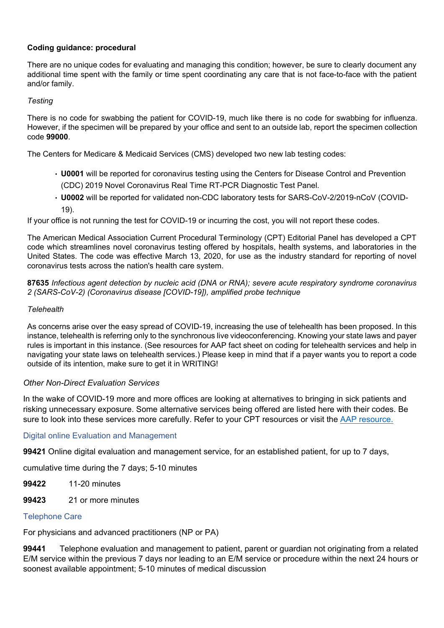# **Coding guidance: procedural**

There are no unique codes for evaluating and managing this condition; however, be sure to clearly document any additional time spent with the family or time spent coordinating any care that is not face-to-face with the patient and/or family.

### *Testing*

There is no code for swabbing the patient for COVID-19, much like there is no code for swabbing for influenza. However, if the specimen will be prepared by your office and sent to an outside lab, report the specimen collection code **99000**.

The Centers for Medicare & Medicaid Services (CMS) developed two new lab testing codes:

- **U0001** will be reported for coronavirus testing using the Centers for Disease Control and Prevention (CDC) 2019 Novel Coronavirus Real Time RT-PCR Diagnostic Test Panel.
- **U0002** will be reported for validated non-CDC laboratory tests for SARS-CoV-2/2019-nCoV (COVID-19).

If your office is not running the test for COVID-19 or incurring the cost, you will not report these codes.

The American Medical Association Current Procedural Terminology (CPT) Editorial Panel has developed a CPT code which streamlines novel coronavirus testing offered by hospitals, health systems, and laboratories in the United States. The code was effective March 13, 2020, for use as the industry standard for reporting of novel coronavirus tests across the nation's health care system.

**87635** *Infectious agent detection by nucleic acid (DNA or RNA); severe acute respiratory syndrome coronavirus 2 (SARS-CoV-2) (Coronavirus disease [COVID-19]), amplified probe technique*

#### *Telehealth*

As concerns arise over the easy spread of COVID-19, increasing the use of telehealth has been proposed. In this instance, telehealth is referring only to the synchronous live videoconferencing. Knowing your state laws and payer rules is important in this instance. (See resources for AAP fact sheet on coding for telehealth services and help in navigating your state laws on telehealth services.) Please keep in mind that if a payer wants you to report a code outside of its intention, make sure to get it in WRITING!

# *Other Non-Direct Evaluation Services*

In the wake of COVID-19 more and more offices are looking at alternatives to bringing in sick patients and risking unnecessary exposure. Some alternative services being offered are listed here with their codes. Be sure to look into these services more carefully. Refer to your CPT resources or visit the [AAP resource.](https://www.aap.org/en-us/Documents/coding_factsheet_nondirectcare.pdf)

#### Digital online Evaluation and Management

**99421** Online digital evaluation and management service, for an established patient, for up to 7 days,

cumulative time during the 7 days; 5-10 minutes

- **99422** 11-20 minutes
- **99423** 21 or more minutes

# Telephone Care

For physicians and advanced practitioners (NP or PA)

**99441** Telephone evaluation and management to patient, parent or guardian not originating from a related E/M service within the previous 7 days nor leading to an E/M service or procedure within the next 24 hours or soonest available appointment; 5-10 minutes of medical discussion